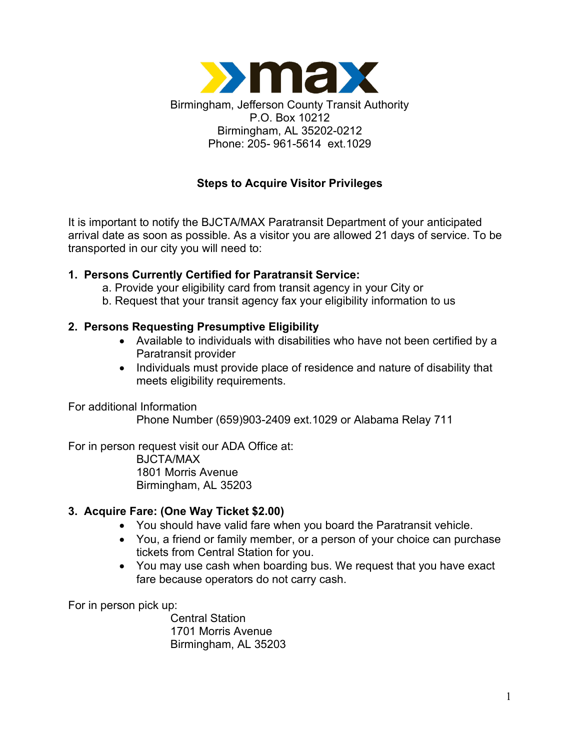

# **Steps to Acquire Visitor Privileges**

It is important to notify the BJCTA/MAX Paratransit Department of your anticipated arrival date as soon as possible. As a visitor you are allowed 21 days of service. To be transported in our city you will need to:

### **1. Persons Currently Certified for Paratransit Service:**

- a. Provide your eligibility card from transit agency in your City or
- b. Request that your transit agency fax your eligibility information to us

## **2. Persons Requesting Presumptive Eligibility**

- Available to individuals with disabilities who have not been certified by a Paratransit provider
- Individuals must provide place of residence and nature of disability that meets eligibility requirements.

For additional Information

Phone Number (659)903-2409 ext.1029 or Alabama Relay 711

For in person request visit our ADA Office at: BJCTA/MAX 1801 Morris Avenue Birmingham, AL 35203

### **3. Acquire Fare: (One Way Ticket \$2.00)**

- You should have valid fare when you board the Paratransit vehicle.
- You, a friend or family member, or a person of your choice can purchase tickets from Central Station for you.
- You may use cash when boarding bus. We request that you have exact fare because operators do not carry cash.

For in person pick up:

Central Station 1701 Morris Avenue Birmingham, AL 35203